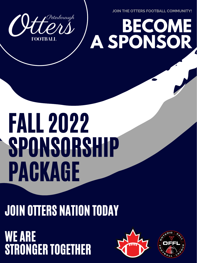JOIN THE OTTERS FOOTBALL COMMUNITY!

BECOME

### CHEND ASPONSOR **FOOTBALL**



# **SPONSORSHIP** PAGKAGE

### JOIN OTTERS NATION TODAY

WE ARE<br>STRONGER TOGETHER



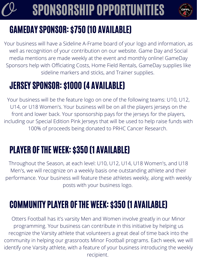### SPONSORSHIP OPPORTUNITIES



### GAMEDAY SPONSOR: \$750 (10 AVAILABLE)

Your business will have a Sideline A-Frame board of your logo and information, as well as recognition of your contribution on our website. Game Day and Social media mentions are made weekly at the event and monthly online! GameDay Sponsors help with Officiating Costs, Home Field Rentals, GameDay supplies like sideline markers and sticks, and Trainer supplies.

#### JERSEY SPONSOR: \$1000 (4 AVAILABLE)

Your business will be the feature logo on one of the following teams: U10, U12, U14, or U18 Women's. Your business will be on all the players jerseys on the front and lower back. Your sponsorship pays for the jerseys for the players, including our Special Edition Pink Jerseys that will be used to help raise funds with 100% of proceeds being donated to PRHC Cancer Research.

#### PLAYER OFTHE WEEK: \$350 (1 AVAILABLE)

Throughout the Season, at each level: U10, U12, U14, U18 Women's, and U18 Men's, we will recognize on a weekly basis one outstanding athlete and their performance. Your business will feature these athletes weekly, along with weekly posts with your business logo.

### COMMUNITY PLAYER OFTHE WEEK: \$350 (1 AVAILABLE)

Otters Football has it's varsity Men and Women involve greatly in our Minor programming. Your business can contribute in this initiative by helping us recognize the Varsity athlete that volunteers a great deal of time back into the community in helping our grassroots Minor Football programs. Each week, we will identify one Varsity athlete, with a feature of your business introducing the weekly recipient.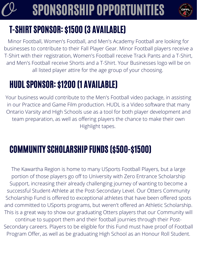### T-SHIRT SPONSOR: \$1500 (3 AVAILABLE)

### o SPONSORSHIP OPPORTUNITIES



Minor Football, Women's Football, and Men's Academy Football are looking for businesses to contribute to their Fall Player Gear. Minor Football players receive a T-Shirt with their registration, Women's Football receive Track Pants and a T-Shirt, and Men's Football receive Shorts and a T-Shirt. Your Businesses logo will be on all listed player attire for the age group of your choosing.

### HUDL SPONSOR: \$1200 (1 AVAILABLE)

Your business would contribute to the Men's Football video package, in assisting in our Practice and Game Film production. HUDL is a Video software that many Ontario Varsity and High Schools use as a tool for both player development and team preparation, as well as offering players the chance to make their own Highlight tapes.

#### COMMUNITY SCHOLARSHIP FUNDS (\$500-\$1500)

The Kawartha Region is home to many USports Football Players, but a large portion of those players go off to University with Zero Entrance Scholarship Support, increasing their already challenging journey of wanting to become a successful Student-Athlete at the Post-Secondary Level. Our Otters Community Scholarship Fund is offered to exceptional athletes that have been offered spots and committed to USports programs, but weren't offered an Athletic Scholarship. This is a great way to show our graduating Otters players that our Community will continue to support them and their football journies through their Post-Secondary careers. Players to be eligible for this Fund must have proof of Football Program Offer, as well as be graduating High School as an Honour Roll Student.